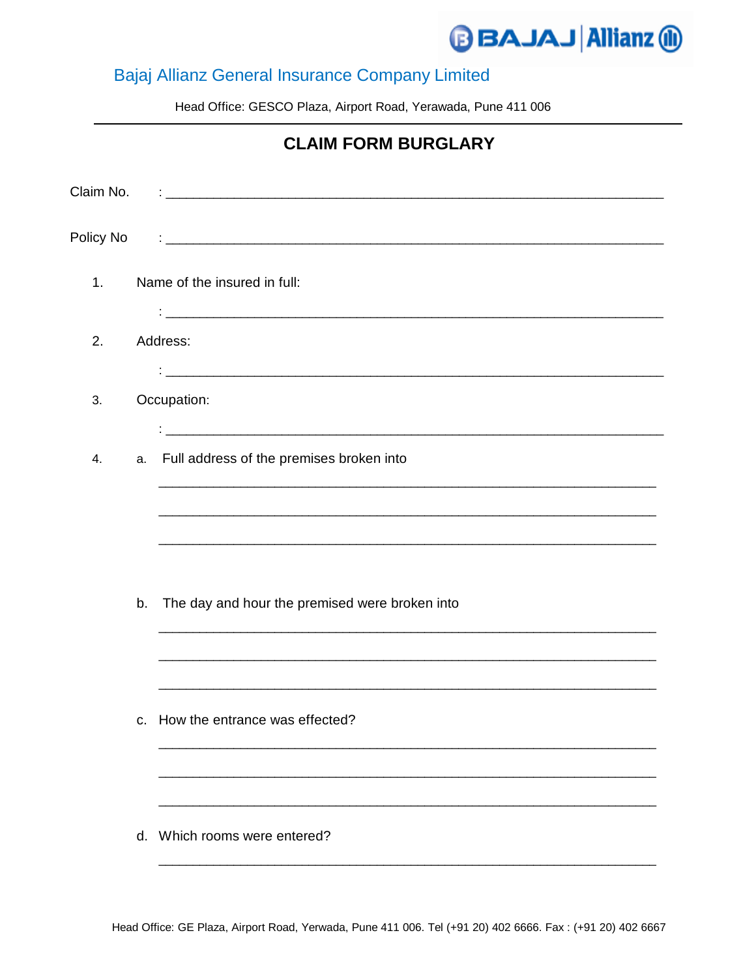## **BAJAJ Allianz @**

## Bajaj Allianz General Insurance Company Limited

Head Office: GESCO Plaza, Airport Road, Yerawada, Pune 411 006

|                |                | <b>CLAIM FORM BURGLARY</b>                                                                                              |
|----------------|----------------|-------------------------------------------------------------------------------------------------------------------------|
| Claim No.      |                | <u> 1989 - Johann John Stein, mars and der Stein Stein Stein Stein Stein Stein Stein Stein Stein Stein Stein Stein</u>  |
| Policy No      |                | <u> 1989 - Jan Alexandro Alexandro Alexandro Alexandro Alexandro Alexandro Alexandro Alexandro Alexandro Alexandro </u> |
| 1 <sub>1</sub> |                | Name of the insured in full:                                                                                            |
| 2.             |                | Address:<br><u> 1980 - Jan James James, martin amerikan basar (j. 1980)</u>                                             |
| 3.             |                | Occupation:                                                                                                             |
| 4.             |                | <u> 1980 - Johann John Stone, mars eta biztanleria (h. 1980).</u><br>a. Full address of the premises broken into        |
|                |                |                                                                                                                         |
|                | b.             | The day and hour the premised were broken into                                                                          |
|                |                |                                                                                                                         |
|                | C <sub>1</sub> | How the entrance was effected?                                                                                          |
|                |                |                                                                                                                         |
|                |                | d. Which rooms were entered?                                                                                            |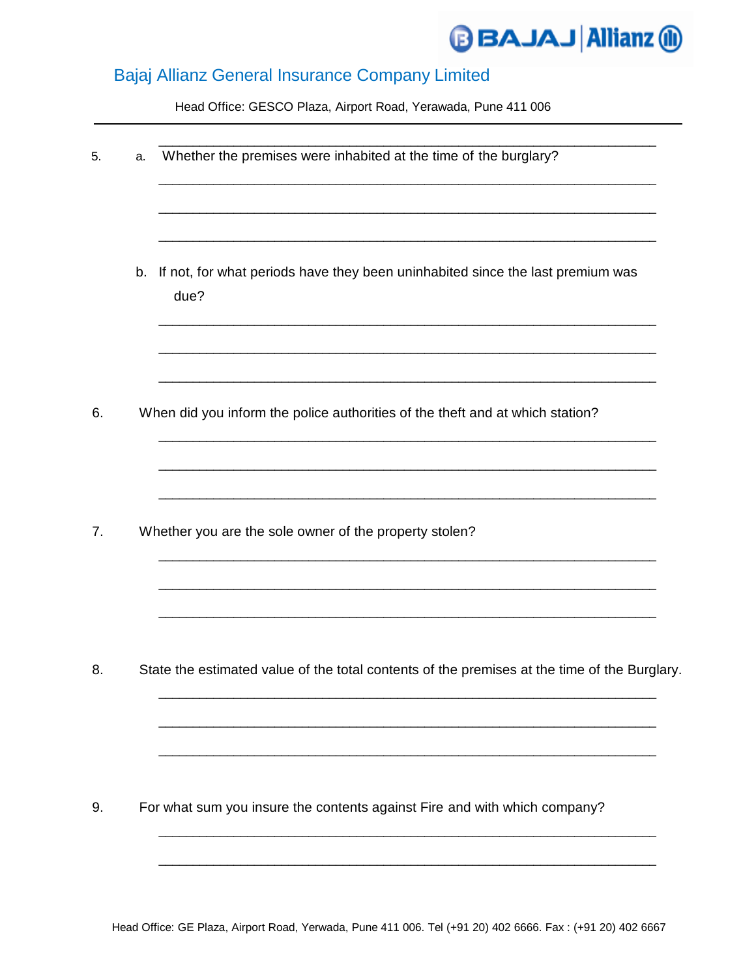

## Bajaj Allianz General Insurance Company Limited

Head Office: GESCO Plaza, Airport Road, Yerawada, Pune 411 006

| 5. | a. | Whether the premises were inhabited at the time of the burglary?                             |  |  |
|----|----|----------------------------------------------------------------------------------------------|--|--|
|    | b. | If not, for what periods have they been uninhabited since the last premium was<br>due?       |  |  |
| 6. |    | When did you inform the police authorities of the theft and at which station?                |  |  |
|    |    |                                                                                              |  |  |
| 7. |    | Whether you are the sole owner of the property stolen?                                       |  |  |
| 8. |    | State the estimated value of the total contents of the premises at the time of the Burglary. |  |  |
| 9. |    | For what sum you insure the contents against Fire and with which company?                    |  |  |